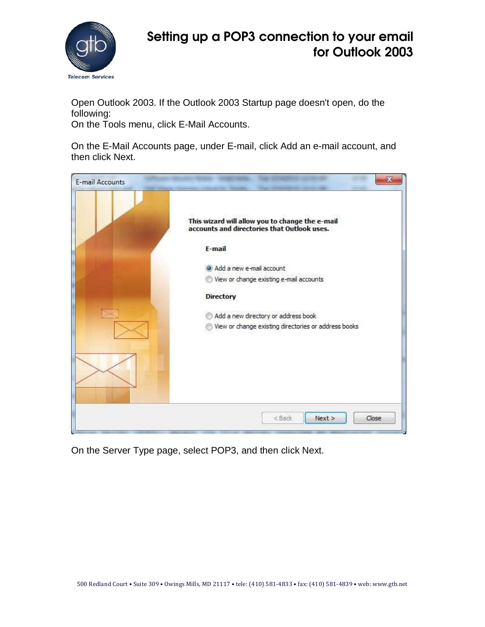

Open Outlook 2003. If the Outlook 2003 Startup page doesn't open, do the following:

On the Tools menu, click E-Mail Accounts.

On the E-Mail Accounts page, under E-mail, click Add an e-mail account, and then click Next.



On the Server Type page, select POP3, and then click Next.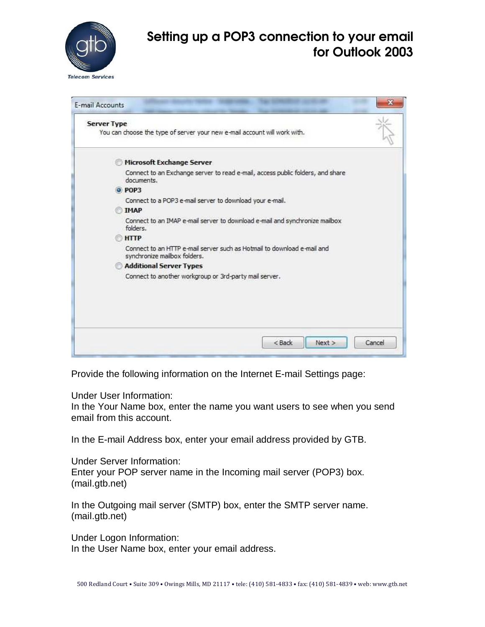

| <b>Server Type</b> | You can choose the type of server your new e-mail account will work with.                               |  |
|--------------------|---------------------------------------------------------------------------------------------------------|--|
|                    |                                                                                                         |  |
|                    | Microsoft Exchange Server                                                                               |  |
|                    | Connect to an Exchange server to read e-mail, access public folders, and share<br>documents.            |  |
|                    | O POP3                                                                                                  |  |
|                    | Connect to a POP3 e-mail server to download your e-mail.                                                |  |
|                    | <b>TMAP</b>                                                                                             |  |
|                    | Connect to an IMAP e-mail server to download e-mail and synchronize mailbox<br>folders.                 |  |
|                    | <b>HTTP</b>                                                                                             |  |
|                    | Connect to an HTTP e-mail server such as Hotmail to download e-mail and<br>synchronize mailbox folders. |  |
|                    | <b>Additional Server Types</b>                                                                          |  |
|                    | Connect to another workgroup or 3rd-party mail server.                                                  |  |
|                    |                                                                                                         |  |
|                    |                                                                                                         |  |

Provide the following information on the Internet E-mail Settings page:

Under User Information:

In the Your Name box, enter the name you want users to see when you send email from this account.

In the E-mail Address box, enter your email address provided by GTB.

Under Server Information: Enter your POP server name in the Incoming mail server (POP3) box. (mail.gtb.net)

In the Outgoing mail server (SMTP) box, enter the SMTP server name. (mail.gtb.net)

Under Logon Information:

In the User Name box, enter your email address.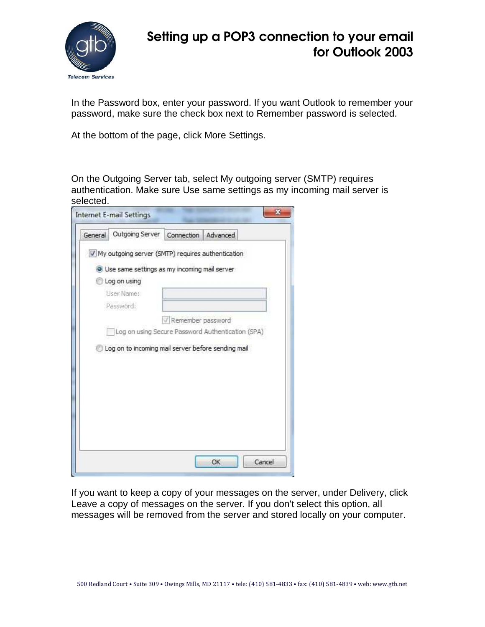

In the Password box, enter your password. If you want Outlook to remember your password, make sure the check box next to Remember password is selected.

At the bottom of the page, click More Settings.

On the Outgoing Server tab, select My outgoing server (SMTP) requires authentication. Make sure Use same settings as my incoming mail server is selected.

| General | Outgoing Server                                     | Connection          | Advanced                                          |
|---------|-----------------------------------------------------|---------------------|---------------------------------------------------|
|         | V My outgoing server (SMTP) requires authentication |                     |                                                   |
|         | O Use same settings as my incoming mail server      |                     |                                                   |
|         | Log on using                                        |                     |                                                   |
|         | User Name:                                          |                     |                                                   |
|         | Password:                                           |                     |                                                   |
|         |                                                     | V Remember password |                                                   |
|         |                                                     |                     | Log on using Secure Password Authentication (SPA) |
|         | Log on to incoming mail server before sending mail  |                     |                                                   |
|         |                                                     |                     |                                                   |

If you want to keep a copy of your messages on the server, under Delivery, click Leave a copy of messages on the server. If you don't select this option, all messages will be removed from the server and stored locally on your computer.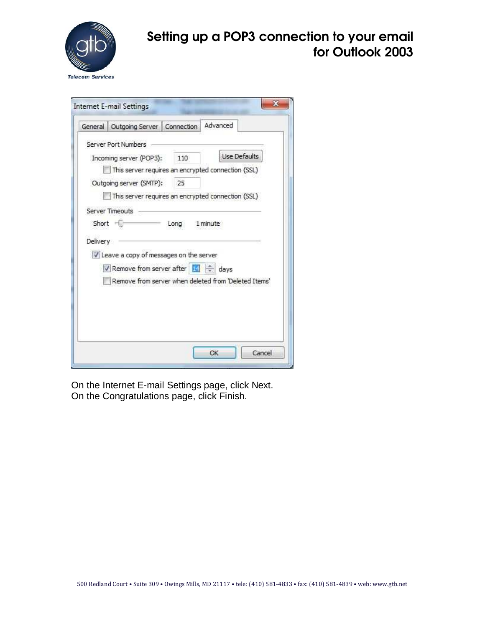

|                         | General Outgoing Server Connection                                                                                                     |      | Advanced     |        |
|-------------------------|----------------------------------------------------------------------------------------------------------------------------------------|------|--------------|--------|
|                         | Server Port Numbers                                                                                                                    |      |              |        |
| Incoming server (POP3): |                                                                                                                                        | 110  | Use Defaults |        |
|                         | This server requires an encrypted connection (SSL)                                                                                     |      |              |        |
| Outgoing server (SMTP): |                                                                                                                                        | 25   |              |        |
|                         | This server requires an encrypted connection (SSL)                                                                                     |      |              |        |
| $Short =$<br>Delivery   | Leave a copy of messages on the server<br>V Remove from server after 14 ÷ days<br>Remove from server when deleted from 'Deleted Items' | Long | 1 minute     |        |
|                         |                                                                                                                                        |      | OK           | Cancel |

On the Internet E-mail Settings page, click Next. On the Congratulations page, click Finish.